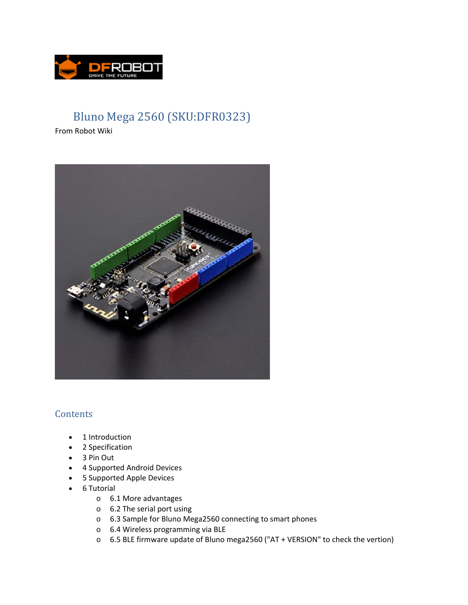

# Bluno Mega 2560 (SKU:DFR0323)

From Robot Wiki



# **Contents**

- 1 Introduction
- 2 Specification
- 3 Pin Out
- 4 Supported Android Devices
- 5 Supported Apple Devices
- 6 Tutorial
	- o 6.1 More advantages
	- o 6.2 The serial port using
	- o 6.3 Sample for Bluno Mega2560 connecting to smart phones
	- o 6.4 Wireless programming via BLE
	- o 6.5 BLE firmware update of Bluno mega2560 ("AT + VERSION" to check the vertion)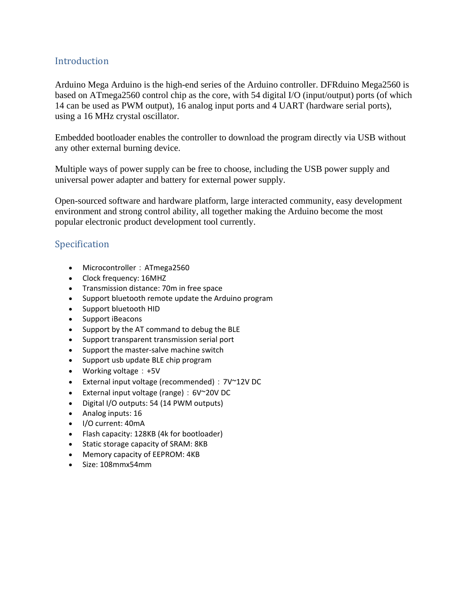# **Introduction**

Arduino Mega Arduino is the high-end series of the Arduino controller. DFRduino Mega2560 is based on ATmega2560 control chip as the core, with 54 digital I/O (input/output) ports (of which 14 can be used as PWM output), 16 analog input ports and 4 UART (hardware serial ports), using a 16 MHz crystal oscillator.

Embedded bootloader enables the controller to download the program directly via USB without any other external burning device.

Multiple ways of power supply can be free to choose, including the USB power supply and universal power adapter and battery for external power supply.

Open-sourced software and hardware platform, large interacted community, easy development environment and strong control ability, all together making the Arduino become the most popular electronic product development tool currently.

# Specification

- Microcontroller: ATmega2560
- Clock frequency: 16MHZ
- Transmission distance: 70m in free space
- Support bluetooth remote update the Arduino program
- Support bluetooth HID
- Support iBeacons
- Support by the AT command to debug the BLE
- Support transparent transmission serial port
- Support the master-salve machine switch
- Support usb update BLE chip program
- Working voltage: +5V
- External input voltage (recommended): 7V~12V DC
- External input voltage (range):6V~20V DC
- Digital I/O outputs: 54 (14 PWM outputs)
- Analog inputs: 16
- I/O current: 40mA
- Flash capacity: 128KB (4k for bootloader)
- Static storage capacity of SRAM: 8KB
- Memory capacity of EEPROM: 4KB
- Size: 108mmx54mm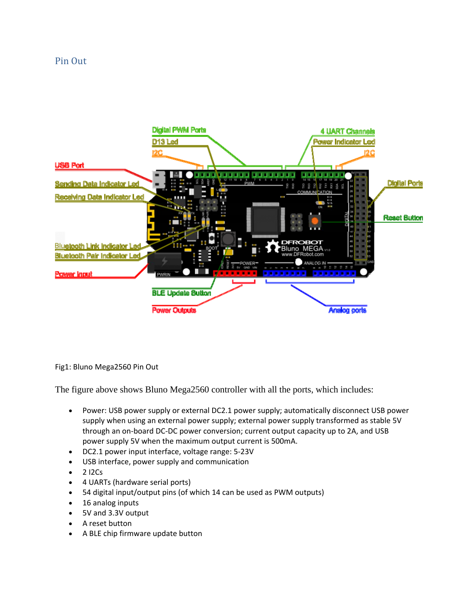#### Pin Out



Fig1: Bluno Mega2560 Pin Out

The figure above shows Bluno Mega2560 controller with all the ports, which includes:

- Power: USB power supply or external DC2.1 power supply; automatically disconnect USB power supply when using an external power supply; external power supply transformed as stable 5V through an on‐board DC‐DC power conversion; current output capacity up to 2A, and USB power supply 5V when the maximum output current is 500mA.
- DC2.1 power input interface, voltage range: 5‐23V
- USB interface, power supply and communication
- $\bullet$  2 I2Cs
- 4 UARTs (hardware serial ports)
- 54 digital input/output pins (of which 14 can be used as PWM outputs)
- 16 analog inputs
- 5V and 3.3V output
- A reset button
- A BLE chip firmware update button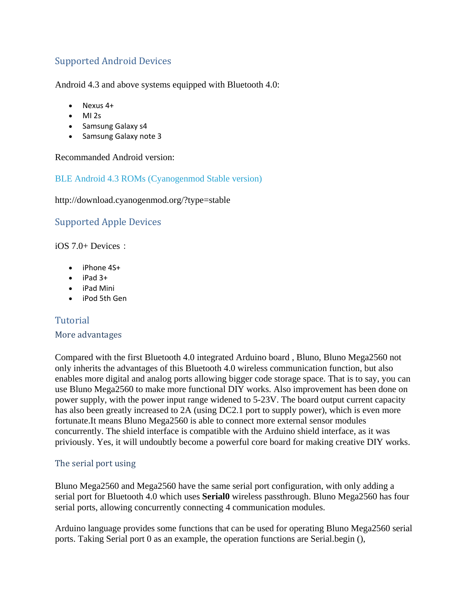# Supported Android Devices

Android 4.3 and above systems equipped with Bluetooth 4.0:

- Nexus 4+
- $-MI 2s$
- Samsung Galaxy s4
- Samsung Galaxy note 3

Recommanded Android version:

#### BLE Android 4.3 ROMs (Cyanogenmod Stable version)

http://download.cyanogenmod.org/?type=stable

# Supported Apple Devices

 $iOS$  7.0+ Devices:

- iPhone 4S+
- $\bullet$  iPad 3+
- iPad Mini
- iPod 5th Gen

# Tutorial

#### More advantages

Compared with the first Bluetooth 4.0 integrated Arduino board , Bluno, Bluno Mega2560 not only inherits the advantages of this Bluetooth 4.0 wireless communication function, but also enables more digital and analog ports allowing bigger code storage space. That is to say, you can use Bluno Mega2560 to make more functional DIY works. Also improvement has been done on power supply, with the power input range widened to 5-23V. The board output current capacity has also been greatly increased to 2A (using DC2.1 port to supply power), which is even more fortunate.It means Bluno Mega2560 is able to connect more external sensor modules concurrently. The shield interface is compatible with the Arduino shield interface, as it was priviously. Yes, it will undoubtly become a powerful core board for making creative DIY works.

#### The serial port using

Bluno Mega2560 and Mega2560 have the same serial port configuration, with only adding a serial port for Bluetooth 4.0 which uses **Serial0** wireless passthrough. Bluno Mega2560 has four serial ports, allowing concurrently connecting 4 communication modules.

Arduino language provides some functions that can be used for operating Bluno Mega2560 serial ports. Taking Serial port 0 as an example, the operation functions are Serial.begin (),